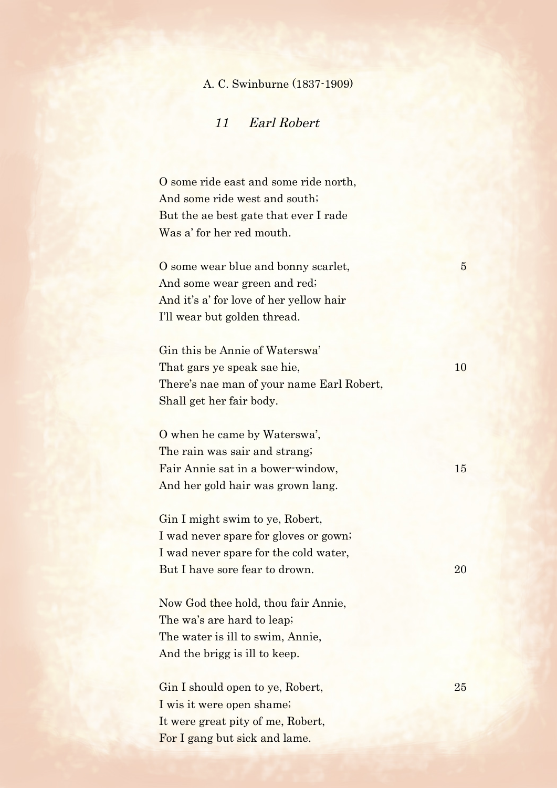## A. C. Swinburne (1837-1909)

## 11 Earl Robert

O some ride east and some ride north, And some ride west and south; But the ae best gate that ever I rade Was a' for her red mouth.

O some wear blue and bonny scarlet, 5 And some wear green and red; And it's a' for love of her yellow hair I'll wear but golden thread.

Gin this be Annie of Waterswa' That gars ye speak sae hie, 10 There's nae man of your name Earl Robert, Shall get her fair body.

O when he came by Waterswa', The rain was sair and strang; Fair Annie sat in a bower-window, 15 And her gold hair was grown lang.

Gin I might swim to ye, Robert, I wad never spare for gloves or gown; I wad never spare for the cold water, But I have sore fear to drown. 20

Now God thee hold, thou fair Annie, The wa's are hard to leap; The water is ill to swim, Annie, And the brigg is ill to keep.

Gin I should open to ye, Robert, 25 I wis it were open shame; It were great pity of me, Robert, For I gang but sick and lame.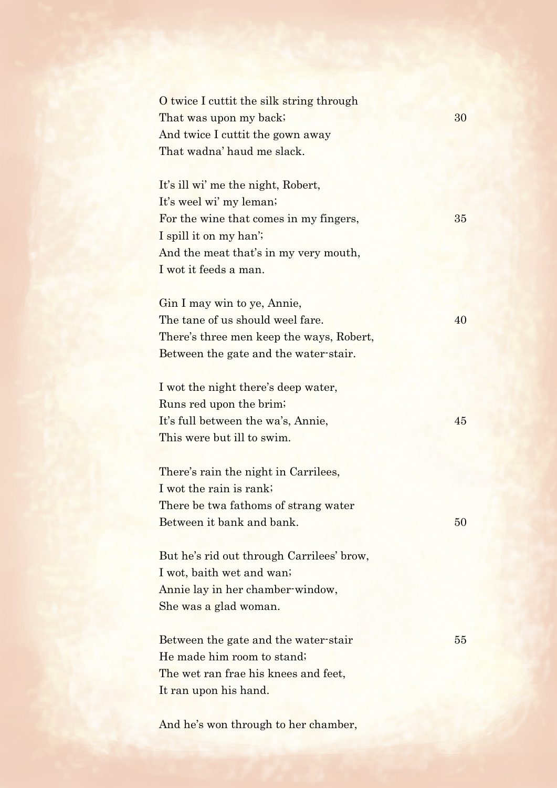O twice I cuttit the silk string through That was upon my back; 30 And twice I cuttit the gown away That wadna' haud me slack.

It's ill wi' me the night, Robert, It's weel wi' my leman; For the wine that comes in my fingers,  $35$ I spill it on my han'; And the meat that's in my very mouth, I wot it feeds a man.

Gin I may win to ye, Annie, The tane of us should weel fare. 40 There's three men keep the ways, Robert, Between the gate and the water-stair.

I wot the night there's deep water, Runs red upon the brim; It's full between the wa's, Annie, 45 This were but ill to swim.

There's rain the night in Carrilees, I wot the rain is rank; There be twa fathoms of strang water Between it bank and bank. 50

But he's rid out through Carrilees' brow, I wot, baith wet and wan; Annie lay in her chamber-window, She was a glad woman.

Between the gate and the water-stair 55 He made him room to stand; The wet ran frae his knees and feet, It ran upon his hand.

And he's won through to her chamber,